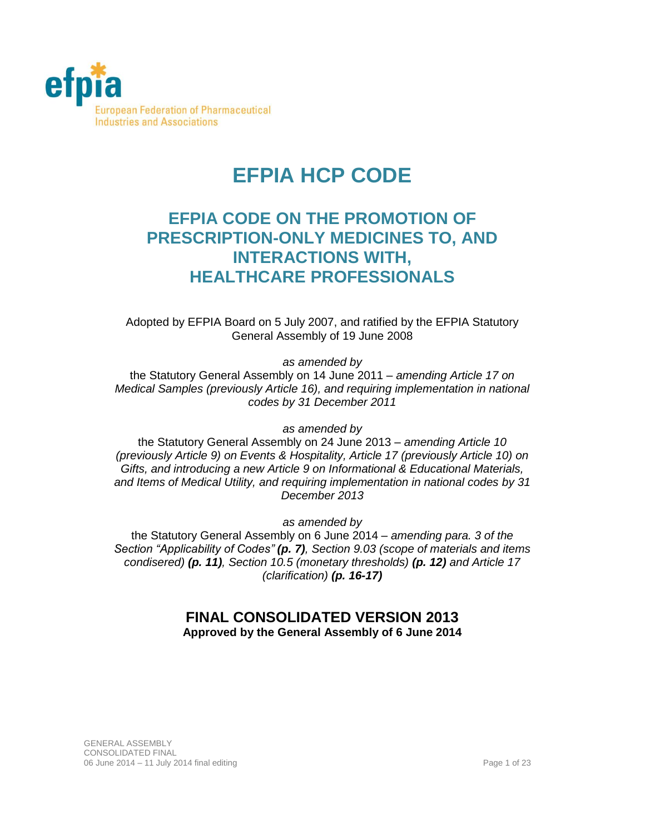

# **EFPIA HCP CODE**

## **EFPIA CODE ON THE PROMOTION OF PRESCRIPTION-ONLY MEDICINES TO, AND INTERACTIONS WITH, HEALTHCARE PROFESSIONALS**

Adopted by EFPIA Board on 5 July 2007, and ratified by the EFPIA Statutory General Assembly of 19 June 2008

*as amended by*

the Statutory General Assembly on 14 June 2011 – *amending Article 17 on Medical Samples (previously Article 16), and requiring implementation in national codes by 31 December 2011*

*as amended by*

the Statutory General Assembly on 24 June 2013 – *amending Article 10 (previously Article 9) on Events & Hospitality, Article 17 (previously Article 10) on Gifts, and introducing a new Article 9 on Informational & Educational Materials, and Items of Medical Utility, and requiring implementation in national codes by 31 December 2013*

*as amended by*

the Statutory General Assembly on 6 June 2014 – *amending para. 3 of the Section "Applicability of Codes" (p. 7), Section 9.03 (scope of materials and items condisered) (p. 11), Section 10.5 (monetary thresholds) (p. 12) and Article 17 (clarification) (p. 16-17)*

## **FINAL CONSOLIDATED VERSION 2013 Approved by the General Assembly of 6 June 2014**

GENERAL ASSEMBLY CONSOLIDATED FINAL 06 June 2014 – 11 July 2014 final editing Page 1 of 23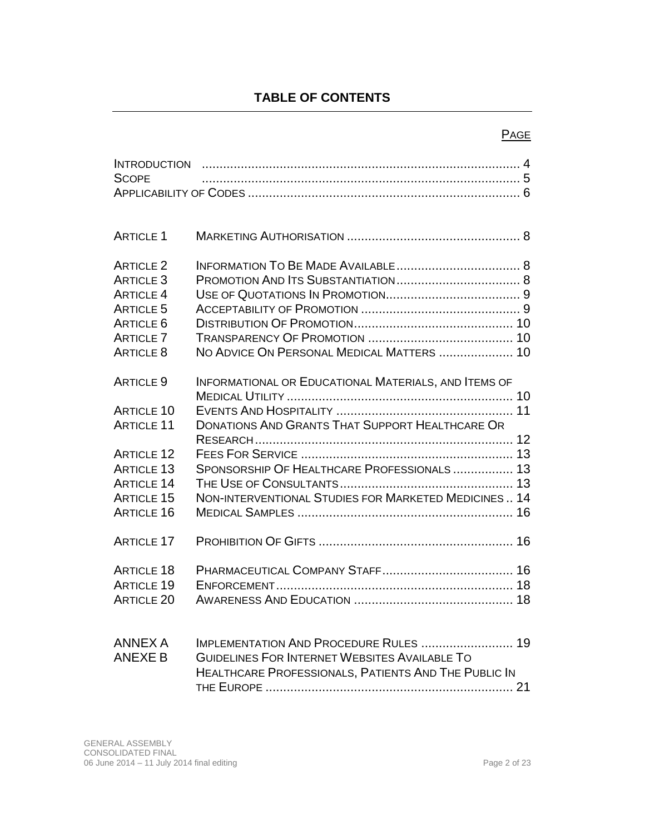## **TABLE OF CONTENTS**

## **PAGE**

| <b>INTRODUCTION</b> |                                                        |  |
|---------------------|--------------------------------------------------------|--|
| <b>SCOPE</b>        |                                                        |  |
|                     |                                                        |  |
|                     |                                                        |  |
| <b>ARTICLE 1</b>    |                                                        |  |
| <b>ARTICLE 2</b>    |                                                        |  |
| <b>ARTICLE 3</b>    |                                                        |  |
| <b>ARTICLE 4</b>    |                                                        |  |
| <b>ARTICLE 5</b>    |                                                        |  |
| <b>ARTICLE 6</b>    |                                                        |  |
| <b>ARTICLE 7</b>    |                                                        |  |
| <b>ARTICLE 8</b>    | NO ADVICE ON PERSONAL MEDICAL MATTERS  10              |  |
|                     |                                                        |  |
| <b>ARTICLE 9</b>    | INFORMATIONAL OR EDUCATIONAL MATERIALS, AND ITEMS OF   |  |
|                     |                                                        |  |
| <b>ARTICLE 10</b>   |                                                        |  |
| <b>ARTICLE 11</b>   | <b>DONATIONS AND GRANTS THAT SUPPORT HEALTHCARE OR</b> |  |
|                     |                                                        |  |
| <b>ARTICLE 12</b>   |                                                        |  |
| <b>ARTICLE 13</b>   | SPONSORSHIP OF HEALTHCARE PROFESSIONALS 13             |  |
| <b>ARTICLE 14</b>   |                                                        |  |
| <b>ARTICLE 15</b>   | NON-INTERVENTIONAL STUDIES FOR MARKETED MEDICINES  14  |  |
| <b>ARTICLE 16</b>   |                                                        |  |
|                     |                                                        |  |
| <b>ARTICLE 17</b>   |                                                        |  |
|                     |                                                        |  |
| <b>ARTICLE 18</b>   |                                                        |  |
| <b>ARTICLE 19</b>   |                                                        |  |
| <b>ARTICLE 20</b>   |                                                        |  |
|                     |                                                        |  |
|                     |                                                        |  |
| <b>ANNEX A</b>      | IMPLEMENTATION AND PROCEDURE RULES  19                 |  |
| <b>ANEXE B</b>      | <b>GUIDELINES FOR INTERNET WEBSITES AVAILABLE TO</b>   |  |
|                     | HEALTHCARE PROFESSIONALS, PATIENTS AND THE PUBLIC IN   |  |
|                     |                                                        |  |
|                     |                                                        |  |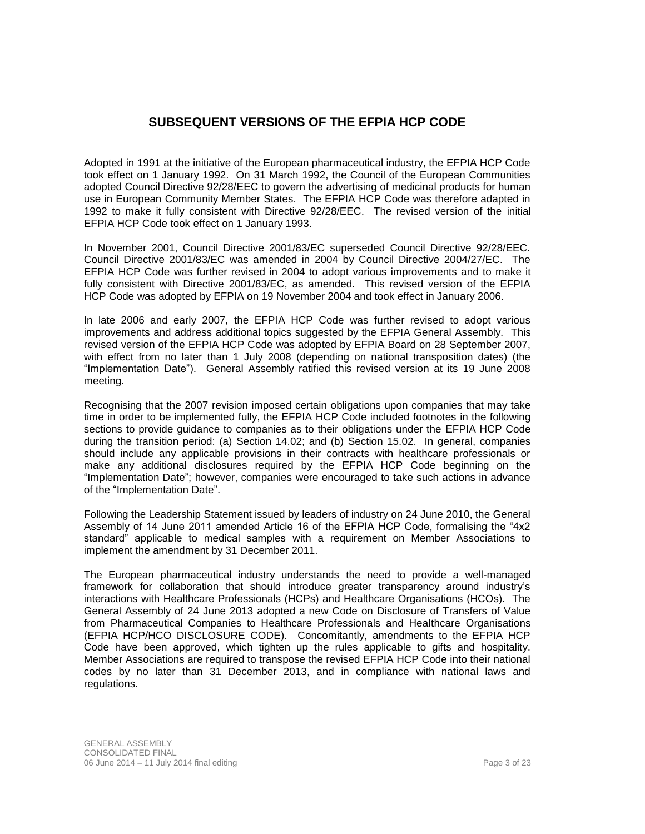## **SUBSEQUENT VERSIONS OF THE EFPIA HCP CODE**

Adopted in 1991 at the initiative of the European pharmaceutical industry, the EFPIA HCP Code took effect on 1 January 1992. On 31 March 1992, the Council of the European Communities adopted Council Directive 92/28/EEC to govern the advertising of medicinal products for human use in European Community Member States. The EFPIA HCP Code was therefore adapted in 1992 to make it fully consistent with Directive 92/28/EEC. The revised version of the initial EFPIA HCP Code took effect on 1 January 1993.

In November 2001, Council Directive 2001/83/EC superseded Council Directive 92/28/EEC. Council Directive 2001/83/EC was amended in 2004 by Council Directive 2004/27/EC. The EFPIA HCP Code was further revised in 2004 to adopt various improvements and to make it fully consistent with Directive 2001/83/EC, as amended. This revised version of the EFPIA HCP Code was adopted by EFPIA on 19 November 2004 and took effect in January 2006.

In late 2006 and early 2007, the EFPIA HCP Code was further revised to adopt various improvements and address additional topics suggested by the EFPIA General Assembly. This revised version of the EFPIA HCP Code was adopted by EFPIA Board on 28 September 2007, with effect from no later than 1 July 2008 (depending on national transposition dates) (the "Implementation Date"). General Assembly ratified this revised version at its 19 June 2008 meeting.

Recognising that the 2007 revision imposed certain obligations upon companies that may take time in order to be implemented fully, the EFPIA HCP Code included footnotes in the following sections to provide guidance to companies as to their obligations under the EFPIA HCP Code during the transition period: (a) [Section 14.02;](#page-13-0) and (b) [Section 15.02.](#page-13-1) In general, companies should include any applicable provisions in their contracts with healthcare professionals or make any additional disclosures required by the EFPIA HCP Code beginning on the "Implementation Date"; however, companies were encouraged to take such actions in advance of the "Implementation Date".

Following the Leadership Statement issued by leaders of industry on 24 June 2010, the General Assembly of 14 June 2011 amended Article 16 of the EFPIA HCP Code, formalising the "4x2 standard" applicable to medical samples with a requirement on Member Associations to implement the amendment by 31 December 2011.

The European pharmaceutical industry understands the need to provide a well-managed framework for collaboration that should introduce greater transparency around industry's interactions with Healthcare Professionals (HCPs) and Healthcare Organisations (HCOs). The General Assembly of 24 June 2013 adopted a new Code on Disclosure of Transfers of Value from Pharmaceutical Companies to Healthcare Professionals and Healthcare Organisations (EFPIA HCP/HCO DISCLOSURE CODE). Concomitantly, amendments to the EFPIA HCP Code have been approved, which tighten up the rules applicable to gifts and hospitality. Member Associations are required to transpose the revised EFPIA HCP Code into their national codes by no later than 31 December 2013, and in compliance with national laws and regulations.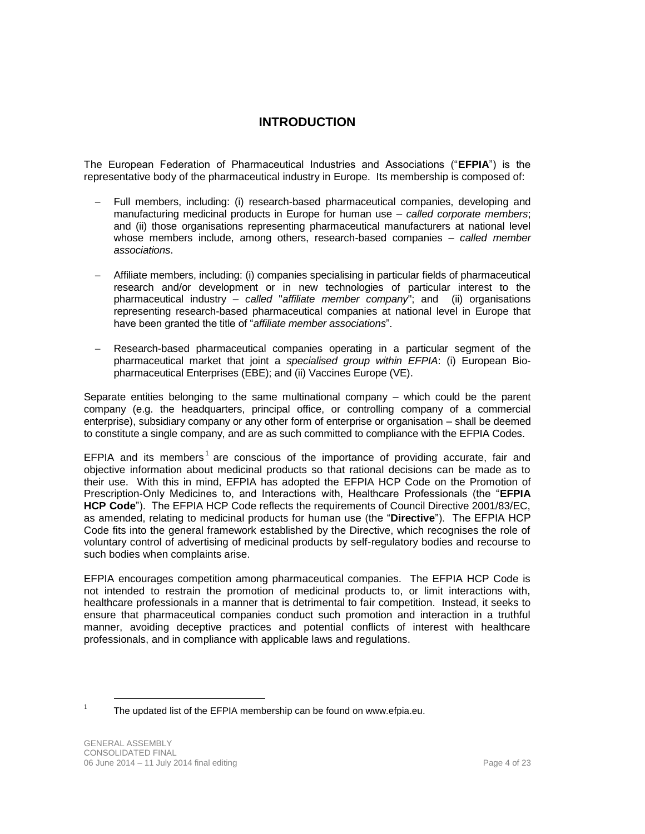## **INTRODUCTION**

The European Federation of Pharmaceutical Industries and Associations ("**EFPIA**") is the representative body of the pharmaceutical industry in Europe. Its membership is composed of:

- Full members, including: (i) research-based pharmaceutical companies, developing and manufacturing medicinal products in Europe for human use – *called corporate members*; and (ii) those organisations representing pharmaceutical manufacturers at national level whose members include, among others, research-based companies – *called member associations*.
- Affiliate members, including: (i) companies specialising in particular fields of pharmaceutical research and/or development or in new technologies of particular interest to the pharmaceutical industry – *called* "*affiliate member company*"; and (ii) organisations representing research-based pharmaceutical companies at national level in Europe that have been granted the title of "*affiliate member associations*".
- Research-based pharmaceutical companies operating in a particular segment of the pharmaceutical market that joint a *specialised group within EFPIA*: (i) European Biopharmaceutical Enterprises (EBE); and (ii) Vaccines Europe (VE).

Separate entities belonging to the same multinational company – which could be the parent company (e.g. the headquarters, principal office, or controlling company of a commercial enterprise), subsidiary company or any other form of enterprise or organisation – shall be deemed to constitute a single company, and are as such committed to compliance with the EFPIA Codes.

EFPIA and its members<sup>1</sup> are conscious of the importance of providing accurate, fair and objective information about medicinal products so that rational decisions can be made as to their use. With this in mind, EFPIA has adopted the EFPIA HCP Code on the Promotion of Prescription-Only Medicines to, and Interactions with, Healthcare Professionals (the "**EFPIA HCP Code**"). The EFPIA HCP Code reflects the requirements of Council Directive 2001/83/EC, as amended, relating to medicinal products for human use (the "**Directive**"). The EFPIA HCP Code fits into the general framework established by the Directive, which recognises the role of voluntary control of advertising of medicinal products by self-regulatory bodies and recourse to such bodies when complaints arise.

EFPIA encourages competition among pharmaceutical companies. The EFPIA HCP Code is not intended to restrain the promotion of medicinal products to, or limit interactions with, healthcare professionals in a manner that is detrimental to fair competition. Instead, it seeks to ensure that pharmaceutical companies conduct such promotion and interaction in a truthful manner, avoiding deceptive practices and potential conflicts of interest with healthcare professionals, and in compliance with applicable laws and regulations.

 $\overline{a}$ 

<sup>1</sup> The updated list of the EFPIA membership can be found on www.efpia.eu.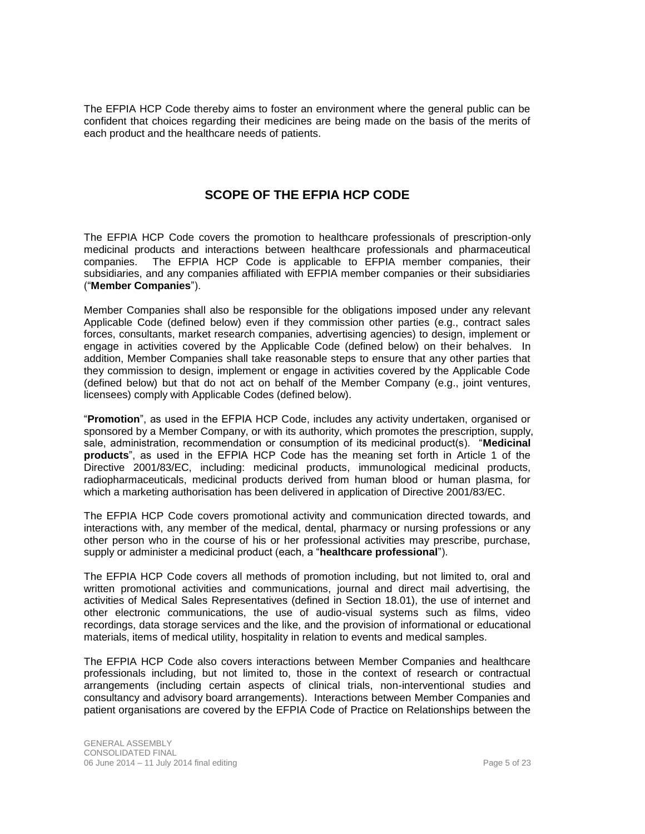The EFPIA HCP Code thereby aims to foster an environment where the general public can be confident that choices regarding their medicines are being made on the basis of the merits of each product and the healthcare needs of patients.

## **SCOPE OF THE EFPIA HCP CODE**

The EFPIA HCP Code covers the promotion to healthcare professionals of prescription-only medicinal products and interactions between healthcare professionals and pharmaceutical companies. The EFPIA HCP Code is applicable to EFPIA member companies, their subsidiaries, and any companies affiliated with EFPIA member companies or their subsidiaries ("**Member Companies**").

Member Companies shall also be responsible for the obligations imposed under any relevant Applicable Code (defined below) even if they commission other parties (e.g., contract sales forces, consultants, market research companies, advertising agencies) to design, implement or engage in activities covered by the Applicable Code (defined below) on their behalves. In addition, Member Companies shall take reasonable steps to ensure that any other parties that they commission to design, implement or engage in activities covered by the Applicable Code (defined below) but that do not act on behalf of the Member Company (e.g., joint ventures, licensees) comply with Applicable Codes (defined below).

"**Promotion**", as used in the EFPIA HCP Code, includes any activity undertaken, organised or sponsored by a Member Company, or with its authority, which promotes the prescription, supply, sale, administration, recommendation or consumption of its medicinal product(s). "**Medicinal products**", as used in the EFPIA HCP Code has the meaning set forth in Article 1 of the Directive 2001/83/EC, including: medicinal products, immunological medicinal products, radiopharmaceuticals, medicinal products derived from human blood or human plasma, for which a marketing authorisation has been delivered in application of Directive 2001/83/EC.

The EFPIA HCP Code covers promotional activity and communication directed towards, and interactions with, any member of the medical, dental, pharmacy or nursing professions or any other person who in the course of his or her professional activities may prescribe, purchase, supply or administer a medicinal product (each, a "**healthcare professional**").

The EFPIA HCP Code covers all methods of promotion including, but not limited to, oral and written promotional activities and communications, journal and direct mail advertising, the activities of Medical Sales Representatives (defined in [Section 18.01\)](#page-15-0), the use of internet and other electronic communications, the use of audio-visual systems such as films, video recordings, data storage services and the like, and the provision of informational or educational materials, items of medical utility, hospitality in relation to events and medical samples.

The EFPIA HCP Code also covers interactions between Member Companies and healthcare professionals including, but not limited to, those in the context of research or contractual arrangements (including certain aspects of clinical trials, non-interventional studies and consultancy and advisory board arrangements). Interactions between Member Companies and patient organisations are covered by the EFPIA Code of Practice on Relationships between the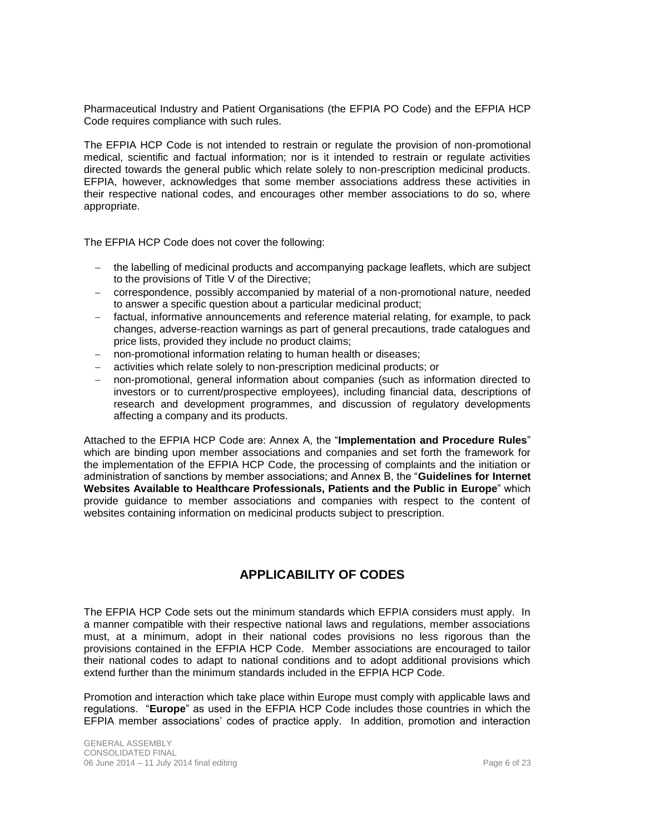Pharmaceutical Industry and Patient Organisations (the EFPIA PO Code) and the EFPIA HCP Code requires compliance with such rules.

The EFPIA HCP Code is not intended to restrain or regulate the provision of non-promotional medical, scientific and factual information; nor is it intended to restrain or regulate activities directed towards the general public which relate solely to non-prescription medicinal products. EFPIA, however, acknowledges that some member associations address these activities in their respective national codes, and encourages other member associations to do so, where appropriate.

The EFPIA HCP Code does not cover the following:

- the labelling of medicinal products and accompanying package leaflets, which are subject to the provisions of Title V of the Directive;
- correspondence, possibly accompanied by material of a non-promotional nature, needed to answer a specific question about a particular medicinal product;
- factual, informative announcements and reference material relating, for example, to pack changes, adverse-reaction warnings as part of general precautions, trade catalogues and price lists, provided they include no product claims;
- non-promotional information relating to human health or diseases;
- activities which relate solely to non-prescription medicinal products; or
- non-promotional, general information about companies (such as information directed to investors or to current/prospective employees), including financial data, descriptions of research and development programmes, and discussion of regulatory developments affecting a company and its products.

Attached to the EFPIA HCP Code are: Annex A, the "**Implementation and Procedure Rules**" which are binding upon member associations and companies and set forth the framework for the implementation of the EFPIA HCP Code, the processing of complaints and the initiation or administration of sanctions by member associations; and Annex B, the "**Guidelines for Internet Websites Available to Healthcare Professionals, Patients and the Public in Europe**" which provide guidance to member associations and companies with respect to the content of websites containing information on medicinal products subject to prescription.

## **APPLICABILITY OF CODES**

The EFPIA HCP Code sets out the minimum standards which EFPIA considers must apply. In a manner compatible with their respective national laws and regulations, member associations must, at a minimum, adopt in their national codes provisions no less rigorous than the provisions contained in the EFPIA HCP Code. Member associations are encouraged to tailor their national codes to adapt to national conditions and to adopt additional provisions which extend further than the minimum standards included in the EFPIA HCP Code.

Promotion and interaction which take place within Europe must comply with applicable laws and regulations. "**Europe**" as used in the EFPIA HCP Code includes those countries in which the EFPIA member associations' codes of practice apply. In addition, promotion and interaction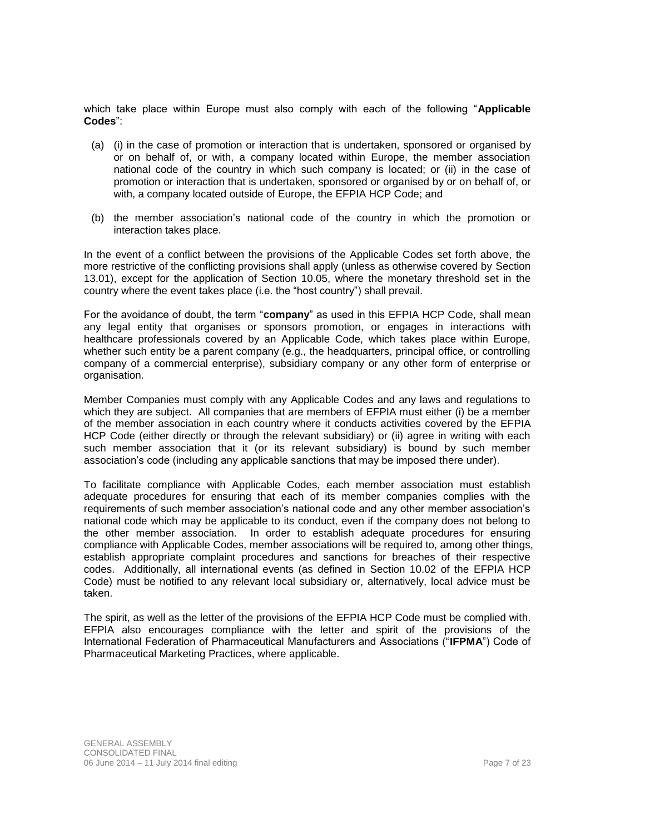which take place within Europe must also comply with each of the following "**Applicable Codes**":

- (a) (i) in the case of promotion or interaction that is undertaken, sponsored or organised by or on behalf of, or with, a company located within Europe, the member association national code of the country in which such company is located; or (ii) in the case of promotion or interaction that is undertaken, sponsored or organised by or on behalf of, or with, a company located outside of Europe, the EFPIA HCP Code; and
- (b) the member association's national code of the country in which the promotion or interaction takes place.

In the event of a conflict between the provisions of the Applicable Codes set forth above, the more restrictive of the conflicting provisions shall apply (unless as otherwise covered by [Section](#page-12-0)  [13.01\)](#page-12-0), except for the application of Section 10.05, where the monetary threshold set in the country where the event takes place (i.e. the "host country") shall prevail.

For the avoidance of doubt, the term "**company**" as used in this EFPIA HCP Code, shall mean any legal entity that organises or sponsors promotion, or engages in interactions with healthcare professionals covered by an Applicable Code, which takes place within Europe, whether such entity be a parent company (e.g., the headquarters, principal office, or controlling company of a commercial enterprise), subsidiary company or any other form of enterprise or organisation.

Member Companies must comply with any Applicable Codes and any laws and regulations to which they are subject. All companies that are members of EFPIA must either (i) be a member of the member association in each country where it conducts activities covered by the EFPIA HCP Code (either directly or through the relevant subsidiary) or (ii) agree in writing with each such member association that it (or its relevant subsidiary) is bound by such member association's code (including any applicable sanctions that may be imposed there under).

To facilitate compliance with Applicable Codes, each member association must establish adequate procedures for ensuring that each of its member companies complies with the requirements of such member association's national code and any other member association's national code which may be applicable to its conduct, even if the company does not belong to the other member association. In order to establish adequate procedures for ensuring compliance with Applicable Codes, member associations will be required to, among other things, establish appropriate complaint procedures and sanctions for breaches of their respective codes. Additionally, all international events (as defined in [Section 10.02](#page-10-0) of the EFPIA HCP Code) must be notified to any relevant local subsidiary or, alternatively, local advice must be taken.

The spirit, as well as the letter of the provisions of the EFPIA HCP Code must be complied with. EFPIA also encourages compliance with the letter and spirit of the provisions of the International Federation of Pharmaceutical Manufacturers and Associations ("**IFPMA**") Code of Pharmaceutical Marketing Practices, where applicable.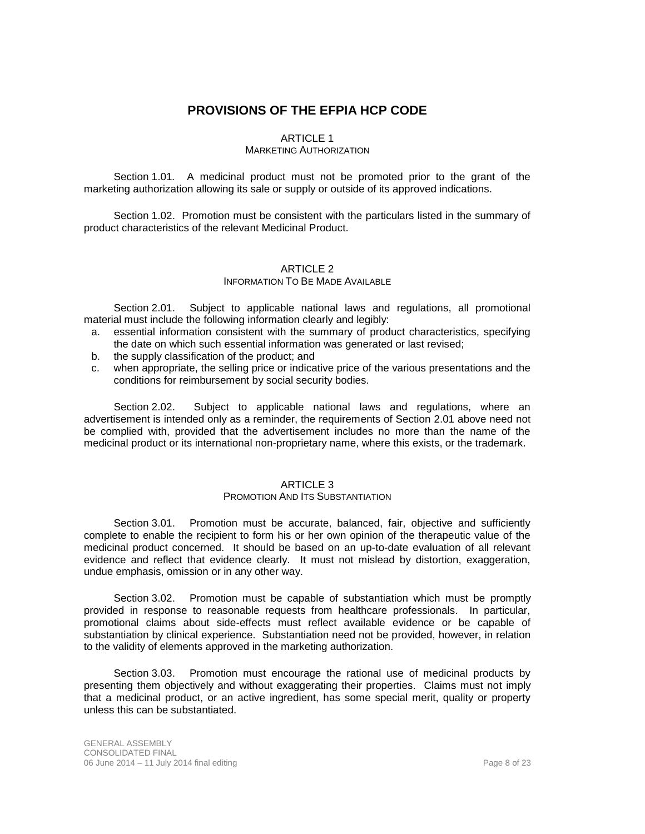## **PROVISIONS OF THE EFPIA HCP CODE**

## ARTICLE 1

## MARKETING AUTHORIZATION

Section 1.01*.* A medicinal product must not be promoted prior to the grant of the marketing authorization allowing its sale or supply or outside of its approved indications.

Section 1.02. Promotion must be consistent with the particulars listed in the summary of product characteristics of the relevant Medicinal Product.

## ARTICLE 2

## INFORMATION TO BE MADE AVAILABLE

<span id="page-7-0"></span>Section 2.01. Subject to applicable national laws and regulations, all promotional material must include the following information clearly and legibly:

- a. essential information consistent with the summary of product characteristics, specifying the date on which such essential information was generated or last revised;
- b. the supply classification of the product; and
- c. when appropriate, the selling price or indicative price of the various presentations and the conditions for reimbursement by social security bodies.

Section 2.02. Subject to applicable national laws and regulations, where an advertisement is intended only as a reminder, the requirements of [Section 2.01](#page-7-0) above need not be complied with, provided that the advertisement includes no more than the name of the medicinal product or its international non-proprietary name, where this exists, or the trademark.

#### ARTICLE 3

### PROMOTION AND ITS SUBSTANTIATION

Section 3.01. Promotion must be accurate, balanced, fair, objective and sufficiently complete to enable the recipient to form his or her own opinion of the therapeutic value of the medicinal product concerned. It should be based on an up-to-date evaluation of all relevant evidence and reflect that evidence clearly. It must not mislead by distortion, exaggeration, undue emphasis, omission or in any other way.

Section 3.02. Promotion must be capable of substantiation which must be promptly provided in response to reasonable requests from healthcare professionals. In particular, promotional claims about side-effects must reflect available evidence or be capable of substantiation by clinical experience. Substantiation need not be provided, however, in relation to the validity of elements approved in the marketing authorization.

Section 3.03. Promotion must encourage the rational use of medicinal products by presenting them objectively and without exaggerating their properties. Claims must not imply that a medicinal product, or an active ingredient, has some special merit, quality or property unless this can be substantiated.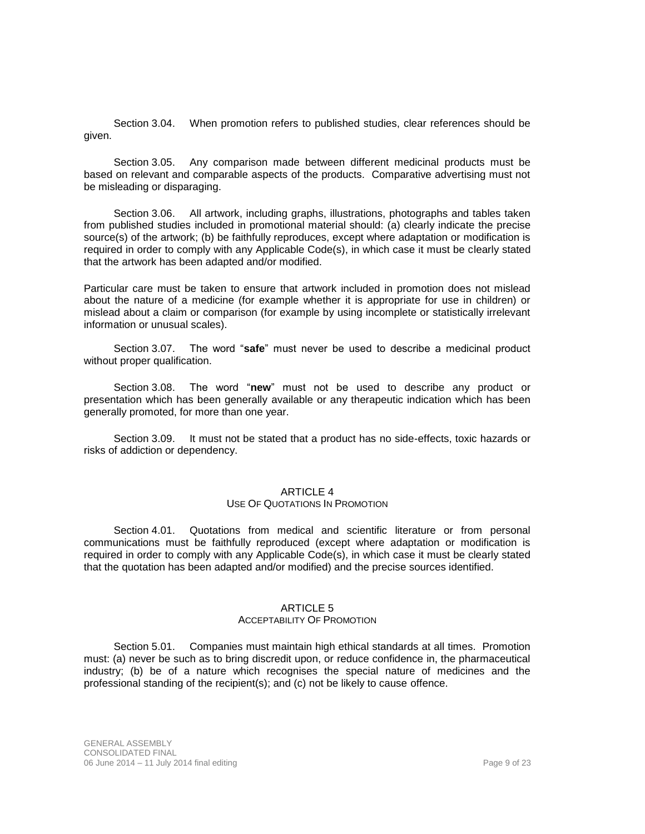Section 3.04. When promotion refers to published studies, clear references should be given.

Section 3.05. Any comparison made between different medicinal products must be based on relevant and comparable aspects of the products. Comparative advertising must not be misleading or disparaging.

Section 3.06. All artwork, including graphs, illustrations, photographs and tables taken from published studies included in promotional material should: (a) clearly indicate the precise source(s) of the artwork; (b) be faithfully reproduces, except where adaptation or modification is required in order to comply with any Applicable Code(s), in which case it must be clearly stated that the artwork has been adapted and/or modified.

Particular care must be taken to ensure that artwork included in promotion does not mislead about the nature of a medicine (for example whether it is appropriate for use in children) or mislead about a claim or comparison (for example by using incomplete or statistically irrelevant information or unusual scales).

Section 3.07. The word "**safe**" must never be used to describe a medicinal product without proper qualification.

Section 3.08. The word "**new**" must not be used to describe any product or presentation which has been generally available or any therapeutic indication which has been generally promoted, for more than one year.

Section 3.09. It must not be stated that a product has no side-effects, toxic hazards or risks of addiction or dependency.

#### ARTICLE 4

#### USE OF QUOTATIONS IN PROMOTION

Section 4.01. Quotations from medical and scientific literature or from personal communications must be faithfully reproduced (except where adaptation or modification is required in order to comply with any Applicable Code(s), in which case it must be clearly stated that the quotation has been adapted and/or modified) and the precise sources identified.

#### ARTICLE 5

#### ACCEPTABILITY OF PROMOTION

Section 5.01. Companies must maintain high ethical standards at all times. Promotion must: (a) never be such as to bring discredit upon, or reduce confidence in, the pharmaceutical industry; (b) be of a nature which recognises the special nature of medicines and the professional standing of the recipient(s); and (c) not be likely to cause offence.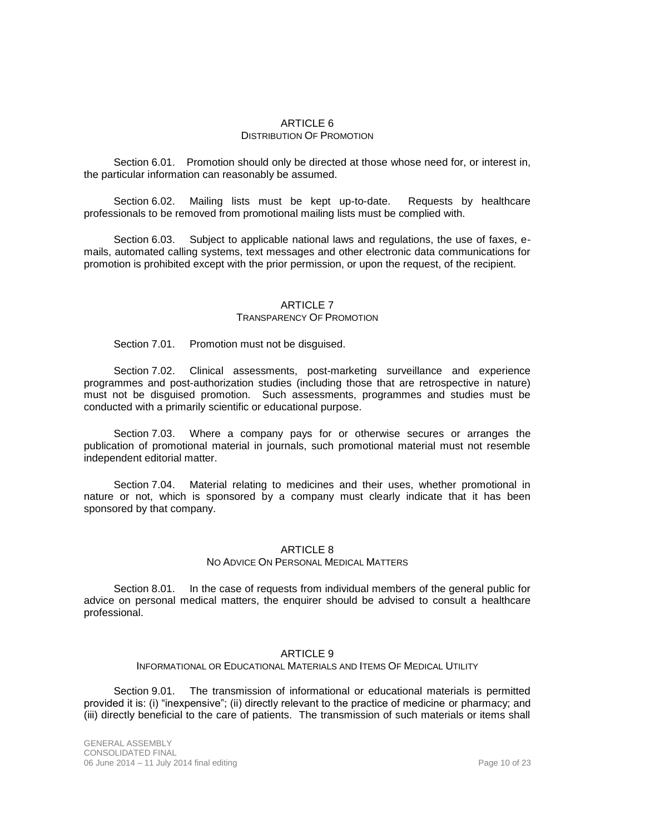## ARTICLE 6 DISTRIBUTION OF PROMOTION

Section 6.01. Promotion should only be directed at those whose need for, or interest in, the particular information can reasonably be assumed.

Section 6.02. Mailing lists must be kept up-to-date. Requests by healthcare professionals to be removed from promotional mailing lists must be complied with.

Section 6.03. Subject to applicable national laws and regulations, the use of faxes, emails, automated calling systems, text messages and other electronic data communications for promotion is prohibited except with the prior permission, or upon the request, of the recipient.

## ARTICLE 7

#### TRANSPARENCY OF PROMOTION

Section 7.01. Promotion must not be disguised.

Section 7.02. Clinical assessments, post-marketing surveillance and experience programmes and post-authorization studies (including those that are retrospective in nature) must not be disguised promotion. Such assessments, programmes and studies must be conducted with a primarily scientific or educational purpose.

Section 7.03. Where a company pays for or otherwise secures or arranges the publication of promotional material in journals, such promotional material must not resemble independent editorial matter.

Section 7.04. Material relating to medicines and their uses, whether promotional in nature or not, which is sponsored by a company must clearly indicate that it has been sponsored by that company.

## ARTICLE 8

### NO ADVICE ON PERSONAL MEDICAL MATTERS

Section 8.01. In the case of requests from individual members of the general public for advice on personal medical matters, the enquirer should be advised to consult a healthcare professional.

#### ARTICLE 9

INFORMATIONAL OR EDUCATIONAL MATERIALS AND ITEMS OF MEDICAL UTILITY

Section 9.01. The transmission of informational or educational materials is permitted provided it is: (i) "inexpensive"; (ii) directly relevant to the practice of medicine or pharmacy; and (iii) directly beneficial to the care of patients. The transmission of such materials or items shall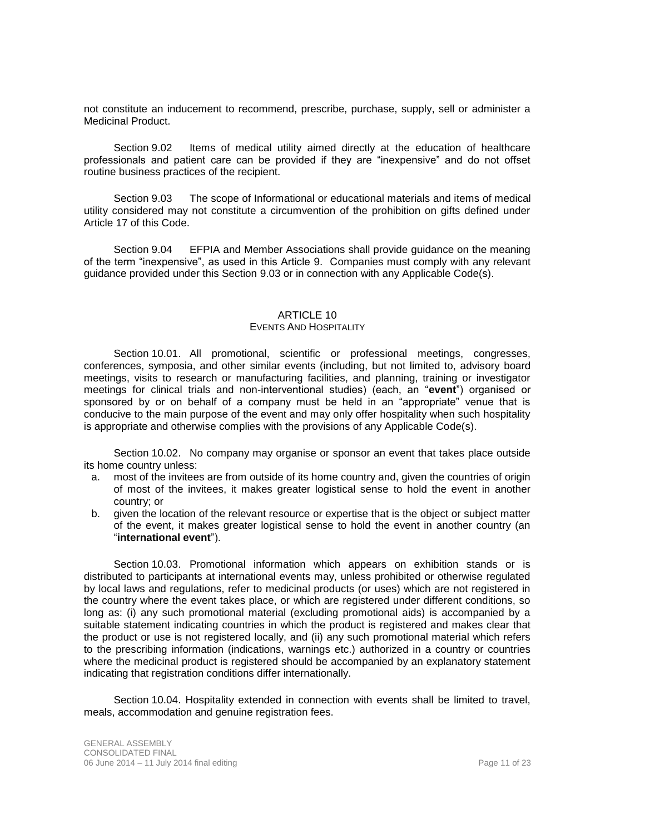not constitute an inducement to recommend, prescribe, purchase, supply, sell or administer a Medicinal Product.

Section 9.02 Items of medical utility aimed directly at the education of healthcare professionals and patient care can be provided if they are "inexpensive" and do not offset routine business practices of the recipient.

Section 9.03 The scope of Informational or educational materials and items of medical utility considered may not constitute a circumvention of the prohibition on gifts defined under Article 17 of this Code.

Section 9.04 EFPIA and Member Associations shall provide guidance on the meaning of the term "inexpensive", as used in this Article 9. Companies must comply with any relevant guidance provided under this Section 9.03 or in connection with any Applicable Code(s).

### ARTICLE 10

### EVENTS AND HOSPITALITY

<span id="page-10-2"></span><span id="page-10-1"></span>Section 10.01. All promotional, scientific or professional meetings, congresses, conferences, symposia, and other similar events (including, but not limited to, advisory board meetings, visits to research or manufacturing facilities, and planning, training or investigator meetings for clinical trials and non-interventional studies) (each, an "**event**") organised or sponsored by or on behalf of a company must be held in an "appropriate" venue that is conducive to the main purpose of the event and may only offer hospitality when such hospitality is appropriate and otherwise complies with the provisions of any Applicable Code(s).

<span id="page-10-0"></span>Section 10.02. No company may organise or sponsor an event that takes place outside its home country unless:

- a. most of the invitees are from outside of its home country and, given the countries of origin of most of the invitees, it makes greater logistical sense to hold the event in another country; or
- b. given the location of the relevant resource or expertise that is the object or subject matter of the event, it makes greater logistical sense to hold the event in another country (an "**international event**").

Section 10.03. Promotional information which appears on exhibition stands or is distributed to participants at international events may, unless prohibited or otherwise regulated by local laws and regulations, refer to medicinal products (or uses) which are not registered in the country where the event takes place, or which are registered under different conditions, so long as: (i) any such promotional material (excluding promotional aids) is accompanied by a suitable statement indicating countries in which the product is registered and makes clear that the product or use is not registered locally, and (ii) any such promotional material which refers to the prescribing information (indications, warnings etc.) authorized in a country or countries where the medicinal product is registered should be accompanied by an explanatory statement indicating that registration conditions differ internationally.

Section 10.04. Hospitality extended in connection with events shall be limited to travel, meals, accommodation and genuine registration fees.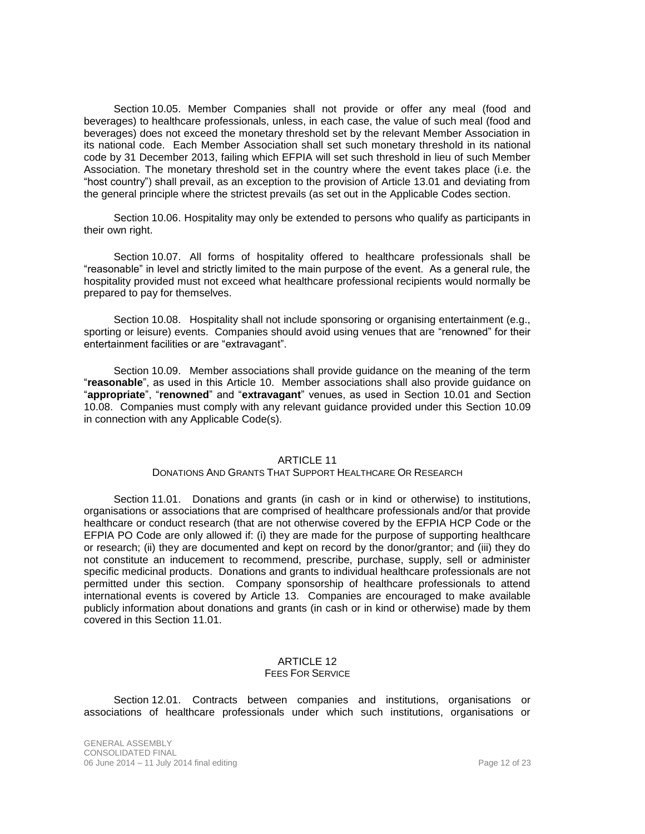Section 10.05. Member Companies shall not provide or offer any meal (food and beverages) to healthcare professionals, unless, in each case, the value of such meal (food and beverages) does not exceed the monetary threshold set by the relevant Member Association in its national code. Each Member Association shall set such monetary threshold in its national code by 31 December 2013, failing which EFPIA will set such threshold in lieu of such Member Association. The monetary threshold set in the country where the event takes place (i.e. the "host country") shall prevail, as an exception to the provision of Article 13.01 and deviating from the general principle where the strictest prevails (as set out in the Applicable Codes section.

Section 10.06. Hospitality may only be extended to persons who qualify as participants in their own right.

Section 10.07. All forms of hospitality offered to healthcare professionals shall be "reasonable" in level and strictly limited to the main purpose of the event. As a general rule, the hospitality provided must not exceed what healthcare professional recipients would normally be prepared to pay for themselves.

<span id="page-11-0"></span>Section 10.08. Hospitality shall not include sponsoring or organising entertainment (e.g., sporting or leisure) events. Companies should avoid using venues that are "renowned" for their entertainment facilities or are "extravagant".

<span id="page-11-1"></span>Section 10.09. Member associations shall provide guidance on the meaning of the term "**reasonable**", as used in this [Article 10.](#page-10-1) Member associations shall also provide guidance on "**appropriate**", "**renowned**" and "**extravagant**" venues, as used in [Section 10.01](#page-10-2) and [Section](#page-11-0)  [10.08.](#page-11-0) Companies must comply with any relevant guidance provided under this [Section 10.09](#page-11-1) in connection with any Applicable Code(s).

## **ARTICLE 11**

#### DONATIONS AND GRANTS THAT SUPPORT HEALTHCARE OR RESEARCH

<span id="page-11-3"></span><span id="page-11-2"></span>Section 11.01. Donations and grants (in cash or in kind or otherwise) to institutions, organisations or associations that are comprised of healthcare professionals and/or that provide healthcare or conduct research (that are not otherwise covered by the EFPIA HCP Code or the EFPIA PO Code are only allowed if: (i) they are made for the purpose of supporting healthcare or research; (ii) they are documented and kept on record by the donor/grantor; and (iii) they do not constitute an inducement to recommend, prescribe, purchase, supply, sell or administer specific medicinal products. Donations and grants to individual healthcare professionals are not permitted under this section. Company sponsorship of healthcare professionals to attend international events is covered by [Article 13.](#page-12-1) Companies are encouraged to make available publicly information about donations and grants (in cash or in kind or otherwise) made by them covered in this [Section 11.01.](#page-11-2)

#### ARTICLE 12 FEES FOR SERVICE

<span id="page-11-4"></span>Section 12.01. Contracts between companies and institutions, organisations or associations of healthcare professionals under which such institutions, organisations or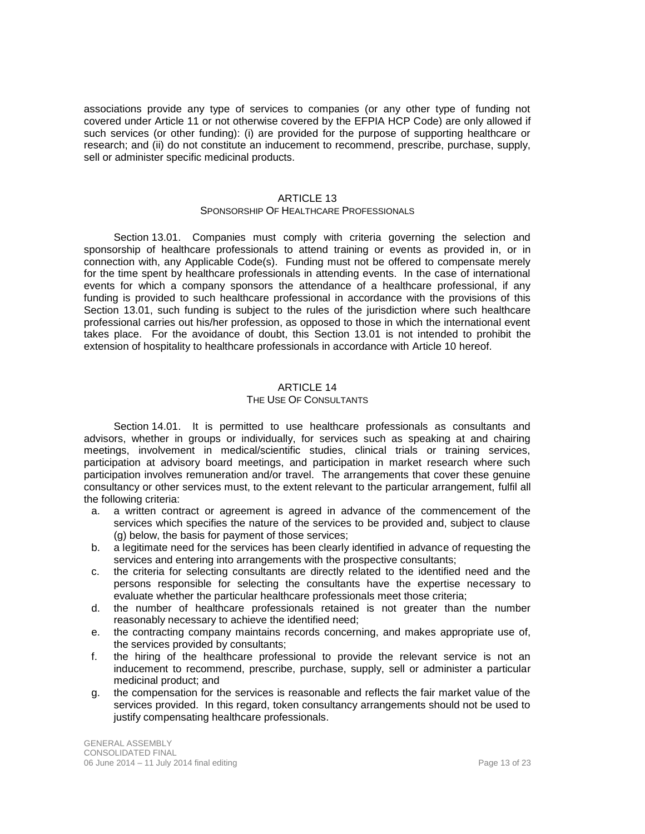associations provide any type of services to companies (or any other type of funding not covered under [Article 11](#page-11-3) or not otherwise covered by the EFPIA HCP Code) are only allowed if such services (or other funding): (i) are provided for the purpose of supporting healthcare or research; and (ii) do not constitute an inducement to recommend, prescribe, purchase, supply, sell or administer specific medicinal products.

#### ARTICLE 13

#### SPONSORSHIP OF HEALTHCARE PROFESSIONALS

<span id="page-12-1"></span><span id="page-12-0"></span>Section 13.01. Companies must comply with criteria governing the selection and sponsorship of healthcare professionals to attend training or events as provided in, or in connection with, any Applicable Code(s). Funding must not be offered to compensate merely for the time spent by healthcare professionals in attending events. In the case of international events for which a company sponsors the attendance of a healthcare professional, if any funding is provided to such healthcare professional in accordance with the provisions of this [Section 13.01,](#page-12-0) such funding is subject to the rules of the jurisdiction where such healthcare professional carries out his/her profession, as opposed to those in which the international event takes place. For the avoidance of doubt, this [Section 13.01](#page-12-0) is not intended to prohibit the extension of hospitality to healthcare professionals in accordance with [Article 10](#page-10-1) hereof.

#### ARTICLE 14

#### THE USE OF CONSULTANTS

<span id="page-12-2"></span>Section 14.01. It is permitted to use healthcare professionals as consultants and advisors, whether in groups or individually, for services such as speaking at and chairing meetings, involvement in medical/scientific studies, clinical trials or training services, participation at advisory board meetings, and participation in market research where such participation involves remuneration and/or travel. The arrangements that cover these genuine consultancy or other services must, to the extent relevant to the particular arrangement, fulfil all the following criteria:

- a. a written contract or agreement is agreed in advance of the commencement of the services which specifies the nature of the services to be provided and, subject to clause (g) below, the basis for payment of those services;
- b. a legitimate need for the services has been clearly identified in advance of requesting the services and entering into arrangements with the prospective consultants;
- c. the criteria for selecting consultants are directly related to the identified need and the persons responsible for selecting the consultants have the expertise necessary to evaluate whether the particular healthcare professionals meet those criteria;
- d. the number of healthcare professionals retained is not greater than the number reasonably necessary to achieve the identified need;
- e. the contracting company maintains records concerning, and makes appropriate use of, the services provided by consultants;
- f. the hiring of the healthcare professional to provide the relevant service is not an inducement to recommend, prescribe, purchase, supply, sell or administer a particular medicinal product; and
- g. the compensation for the services is reasonable and reflects the fair market value of the services provided. In this regard, token consultancy arrangements should not be used to justify compensating healthcare professionals.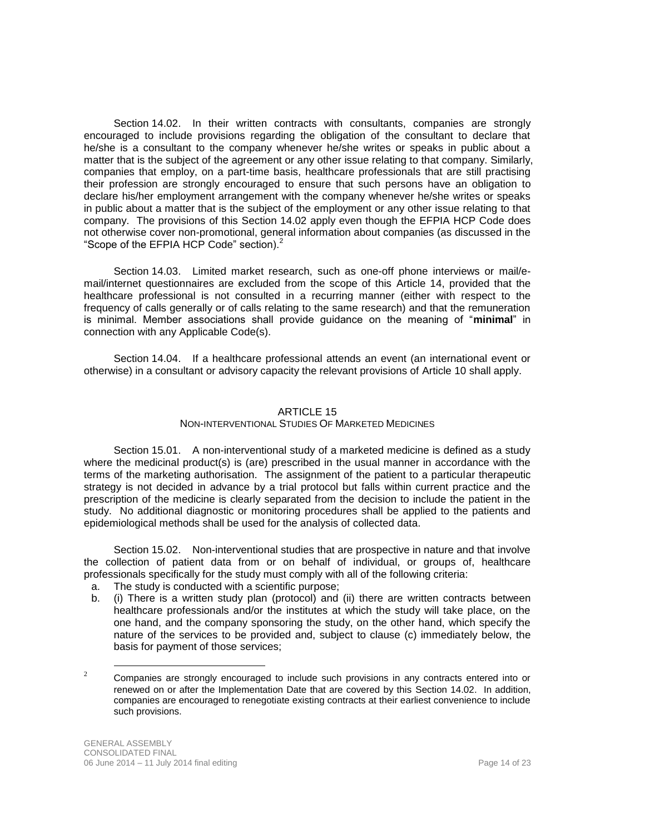<span id="page-13-0"></span>Section 14.02. In their written contracts with consultants, companies are strongly encouraged to include provisions regarding the obligation of the consultant to declare that he/she is a consultant to the company whenever he/she writes or speaks in public about a matter that is the subject of the agreement or any other issue relating to that company. Similarly, companies that employ, on a part-time basis, healthcare professionals that are still practising their profession are strongly encouraged to ensure that such persons have an obligation to declare his/her employment arrangement with the company whenever he/she writes or speaks in public about a matter that is the subject of the employment or any other issue relating to that company. The provisions of this [Section 14.02](#page-13-0) apply even though the EFPIA HCP Code does not otherwise cover non-promotional, general information about companies (as discussed in the "Scope of the EFPIA HCP Code" section).<sup>2</sup>

Section 14.03. Limited market research, such as one-off phone interviews or mail/email/internet questionnaires are excluded from the scope of this [Article 14,](#page-12-2) provided that the healthcare professional is not consulted in a recurring manner (either with respect to the frequency of calls generally or of calls relating to the same research) and that the remuneration is minimal. Member associations shall provide guidance on the meaning of "**minimal**" in connection with any Applicable Code(s).

Section 14.04. If a healthcare professional attends an event (an international event or otherwise) in a consultant or advisory capacity the relevant provisions of [Article 10](#page-10-1) shall apply.

## ARTICLE 15

## NON-INTERVENTIONAL STUDIES OF MARKETED MEDICINES

<span id="page-13-2"></span>Section 15.01. A non-interventional study of a marketed medicine is defined as a study where the medicinal product(s) is (are) prescribed in the usual manner in accordance with the terms of the marketing authorisation. The assignment of the patient to a particular therapeutic strategy is not decided in advance by a trial protocol but falls within current practice and the prescription of the medicine is clearly separated from the decision to include the patient in the study. No additional diagnostic or monitoring procedures shall be applied to the patients and epidemiological methods shall be used for the analysis of collected data.

<span id="page-13-1"></span>Section 15.02. Non-interventional studies that are prospective in nature and that involve the collection of patient data from or on behalf of individual, or groups of, healthcare professionals specifically for the study must comply with all of the following criteria:

- a. The study is conducted with a scientific purpose;
- b. (i) There is a written study plan (protocol) and (ii) there are written contracts between healthcare professionals and/or the institutes at which the study will take place, on the one hand, and the company sponsoring the study, on the other hand, which specify the nature of the services to be provided and, subject to clause (c) immediately below, the basis for payment of those services;

 $\overline{a}$ 

 $2^2$  Companies are strongly encouraged to include such provisions in any contracts entered into or renewed on or after the Implementation Date that are covered by this [Section 14.02.](#page-13-0) In addition, companies are encouraged to renegotiate existing contracts at their earliest convenience to include such provisions.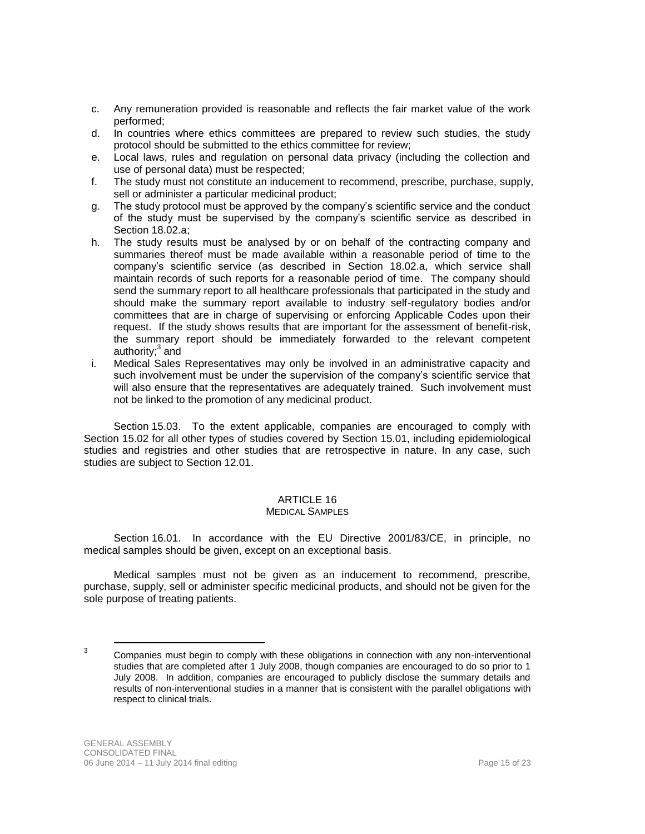- c. Any remuneration provided is reasonable and reflects the fair market value of the work performed;
- d. In countries where ethics committees are prepared to review such studies, the study protocol should be submitted to the ethics committee for review;
- e. Local laws, rules and regulation on personal data privacy (including the collection and use of personal data) must be respected;
- f. The study must not constitute an inducement to recommend, prescribe, purchase, supply, sell or administer a particular medicinal product;
- g. The study protocol must be approved by the company's scientific service and the conduct of the study must be supervised by the company's scientific service as described in Section 18.02.a;
- h. The study results must be analysed by or on behalf of the contracting company and summaries thereof must be made available within a reasonable period of time to the company's scientific service (as described in Section 18.02.a, which service shall maintain records of such reports for a reasonable period of time. The company should send the summary report to all healthcare professionals that participated in the study and should make the summary report available to industry self-regulatory bodies and/or committees that are in charge of supervising or enforcing Applicable Codes upon their request. If the study shows results that are important for the assessment of benefit-risk, the summary report should be immediately forwarded to the relevant competent authority;<sup>3</sup> and
- <span id="page-14-0"></span>i. Medical Sales Representatives may only be involved in an administrative capacity and such involvement must be under the supervision of the company's scientific service that will also ensure that the representatives are adequately trained. Such involvement must not be linked to the promotion of any medicinal product.

Section 15.03. To the extent applicable, companies are encouraged to comply with [Section 15.02](#page-13-1) for all other types of studies covered by [Section 15.01,](#page-13-2) including epidemiological studies and registries and other studies that are retrospective in nature. In any case, such studies are subject to [Section 12.01.](#page-11-4)

## ARTICLE 16

## MEDICAL SAMPLES

Section 16.01. In accordance with the EU Directive 2001/83/CE, in principle, no medical samples should be given, except on an exceptional basis.

Medical samples must not be given as an inducement to recommend, prescribe, purchase, supply, sell or administer specific medicinal products, and should not be given for the sole purpose of treating patients.

 $\overline{a}$ 

<sup>3</sup> Companies must begin to comply with these obligations in connection with any non-interventional studies that are completed after 1 July 2008, though companies are encouraged to do so prior to 1 July 2008. In addition, companies are encouraged to publicly disclose the summary details and results of non-interventional studies in a manner that is consistent with the parallel obligations with respect to clinical trials.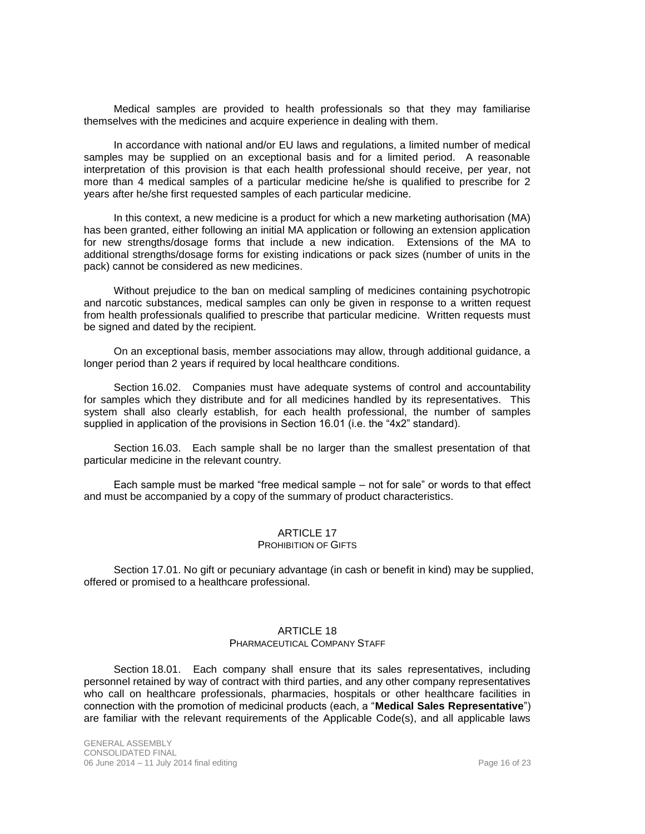Medical samples are provided to health professionals so that they may familiarise themselves with the medicines and acquire experience in dealing with them.

In accordance with national and/or EU laws and regulations, a limited number of medical samples may be supplied on an exceptional basis and for a limited period. A reasonable interpretation of this provision is that each health professional should receive, per year, not more than 4 medical samples of a particular medicine he/she is qualified to prescribe for 2 years after he/she first requested samples of each particular medicine.

In this context, a new medicine is a product for which a new marketing authorisation (MA) has been granted, either following an initial MA application or following an extension application for new strengths/dosage forms that include a new indication. Extensions of the MA to additional strengths/dosage forms for existing indications or pack sizes (number of units in the pack) cannot be considered as new medicines.

Without prejudice to the ban on medical sampling of medicines containing psychotropic and narcotic substances, medical samples can only be given in response to a written request from health professionals qualified to prescribe that particular medicine. Written requests must be signed and dated by the recipient.

On an exceptional basis, member associations may allow, through additional guidance, a longer period than 2 years if required by local healthcare conditions.

Section 16.02. Companies must have adequate systems of control and accountability for samples which they distribute and for all medicines handled by its representatives. This system shall also clearly establish, for each health professional, the number of samples supplied in application of the provisions in Section 16.01 (i.e. the "4x2" standard).

Section 16.03. Each sample shall be no larger than the smallest presentation of that particular medicine in the relevant country.

Each sample must be marked "free medical sample – not for sale" or words to that effect and must be accompanied by a copy of the summary of product characteristics.

## ARTICLE 17

### PROHIBITION OF GIFTS

Section 17.01. No gift or pecuniary advantage (in cash or benefit in kind) may be supplied, offered or promised to a healthcare professional.

#### ARTICLE 18

#### PHARMACEUTICAL COMPANY STAFF

<span id="page-15-0"></span>Section 18.01. Each company shall ensure that its sales representatives, including personnel retained by way of contract with third parties, and any other company representatives who call on healthcare professionals, pharmacies, hospitals or other healthcare facilities in connection with the promotion of medicinal products (each, a "**Medical Sales Representative**") are familiar with the relevant requirements of the Applicable Code(s), and all applicable laws

GENERAL ASSEMBLY CONSOLIDATED FINAL 06 June 2014 – 11 July 2014 final editing Page 16 of 23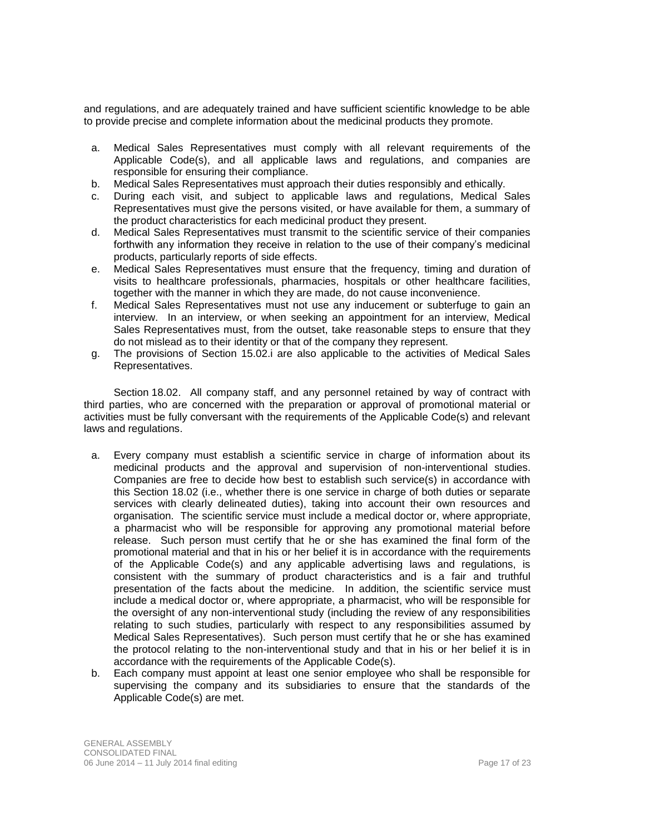and regulations, and are adequately trained and have sufficient scientific knowledge to be able to provide precise and complete information about the medicinal products they promote.

- a. Medical Sales Representatives must comply with all relevant requirements of the Applicable Code(s), and all applicable laws and regulations, and companies are responsible for ensuring their compliance.
- b. Medical Sales Representatives must approach their duties responsibly and ethically.
- c. During each visit, and subject to applicable laws and regulations, Medical Sales Representatives must give the persons visited, or have available for them, a summary of the product characteristics for each medicinal product they present.
- d. Medical Sales Representatives must transmit to the scientific service of their companies forthwith any information they receive in relation to the use of their company's medicinal products, particularly reports of side effects.
- e. Medical Sales Representatives must ensure that the frequency, timing and duration of visits to healthcare professionals, pharmacies, hospitals or other healthcare facilities, together with the manner in which they are made, do not cause inconvenience.
- f. Medical Sales Representatives must not use any inducement or subterfuge to gain an interview. In an interview, or when seeking an appointment for an interview, Medical Sales Representatives must, from the outset, take reasonable steps to ensure that they do not mislead as to their identity or that of the company they represent.
- g. The provisions of Section 15.02[.i](#page-14-0) are also applicable to the activities of Medical Sales Representatives.

<span id="page-16-0"></span>Section 18.02. All company staff, and any personnel retained by way of contract with third parties, who are concerned with the preparation or approval of promotional material or activities must be fully conversant with the requirements of the Applicable Code(s) and relevant laws and regulations.

- a. Every company must establish a scientific service in charge of information about its medicinal products and the approval and supervision of non-interventional studies. Companies are free to decide how best to establish such service(s) in accordance with this [Section 18.02](#page-16-0) (i.e., whether there is one service in charge of both duties or separate services with clearly delineated duties), taking into account their own resources and organisation. The scientific service must include a medical doctor or, where appropriate, a pharmacist who will be responsible for approving any promotional material before release. Such person must certify that he or she has examined the final form of the promotional material and that in his or her belief it is in accordance with the requirements of the Applicable Code(s) and any applicable advertising laws and regulations, is consistent with the summary of product characteristics and is a fair and truthful presentation of the facts about the medicine. In addition, the scientific service must include a medical doctor or, where appropriate, a pharmacist, who will be responsible for the oversight of any non-interventional study (including the review of any responsibilities relating to such studies, particularly with respect to any responsibilities assumed by Medical Sales Representatives). Such person must certify that he or she has examined the protocol relating to the non-interventional study and that in his or her belief it is in accordance with the requirements of the Applicable Code(s).
- b. Each company must appoint at least one senior employee who shall be responsible for supervising the company and its subsidiaries to ensure that the standards of the Applicable Code(s) are met.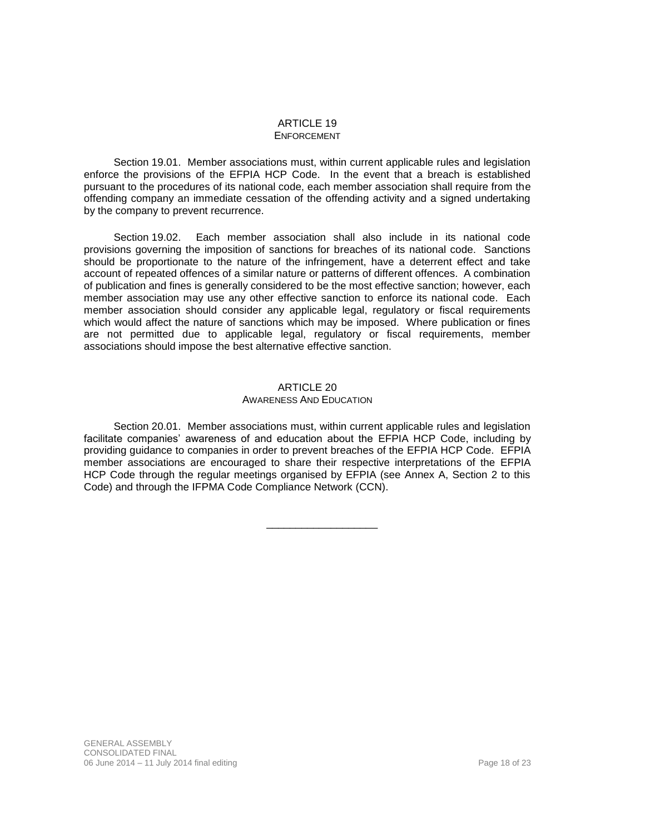#### ARTICLE 19 ENFORCEMENT

Section 19.01. Member associations must, within current applicable rules and legislation enforce the provisions of the EFPIA HCP Code. In the event that a breach is established pursuant to the procedures of its national code, each member association shall require from the offending company an immediate cessation of the offending activity and a signed undertaking by the company to prevent recurrence.

Section 19.02. Each member association shall also include in its national code provisions governing the imposition of sanctions for breaches of its national code. Sanctions should be proportionate to the nature of the infringement, have a deterrent effect and take account of repeated offences of a similar nature or patterns of different offences. A combination of publication and fines is generally considered to be the most effective sanction; however, each member association may use any other effective sanction to enforce its national code. Each member association should consider any applicable legal, regulatory or fiscal requirements which would affect the nature of sanctions which may be imposed. Where publication or fines are not permitted due to applicable legal, regulatory or fiscal requirements, member associations should impose the best alternative effective sanction.

#### ARTICLE 20

#### AWARENESS AND EDUCATION

Section 20.01. Member associations must, within current applicable rules and legislation facilitate companies' awareness of and education about the EFPIA HCP Code, including by providing guidance to companies in order to prevent breaches of the EFPIA HCP Code. EFPIA member associations are encouraged to share their respective interpretations of the EFPIA HCP Code through the regular meetings organised by EFPIA (see Annex A, Section 2 to this Code) and through the IFPMA Code Compliance Network (CCN).

\_\_\_\_\_\_\_\_\_\_\_\_\_\_\_\_\_\_\_

GENERAL ASSEMBLY CONSOLIDATED FINAL 06 June 2014 – 11 July 2014 final editing Page 18 of 23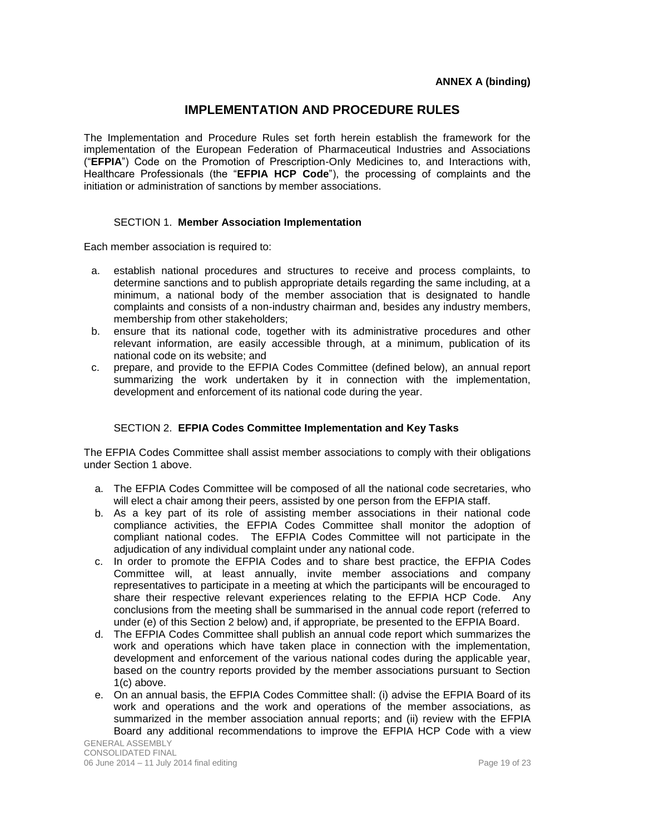## **IMPLEMENTATION AND PROCEDURE RULES**

The Implementation and Procedure Rules set forth herein establish the framework for the implementation of the European Federation of Pharmaceutical Industries and Associations ("**EFPIA**") Code on the Promotion of Prescription-Only Medicines to, and Interactions with, Healthcare Professionals (the "**EFPIA HCP Code**"), the processing of complaints and the initiation or administration of sanctions by member associations.

## SECTION 1. **Member Association Implementation**

Each member association is required to:

- a. establish national procedures and structures to receive and process complaints, to determine sanctions and to publish appropriate details regarding the same including, at a minimum, a national body of the member association that is designated to handle complaints and consists of a non-industry chairman and, besides any industry members, membership from other stakeholders;
- b. ensure that its national code, together with its administrative procedures and other relevant information, are easily accessible through, at a minimum, publication of its national code on its website; and
- c. prepare, and provide to the EFPIA Codes Committee (defined below), an annual report summarizing the work undertaken by it in connection with the implementation, development and enforcement of its national code during the year.

## SECTION 2. **EFPIA Codes Committee Implementation and Key Tasks**

The EFPIA Codes Committee shall assist member associations to comply with their obligations under Section 1 above.

- a. The EFPIA Codes Committee will be composed of all the national code secretaries, who will elect a chair among their peers, assisted by one person from the EFPIA staff.
- b. As a key part of its role of assisting member associations in their national code compliance activities, the EFPIA Codes Committee shall monitor the adoption of compliant national codes. The EFPIA Codes Committee will not participate in the adjudication of any individual complaint under any national code.
- c. In order to promote the EFPIA Codes and to share best practice, the EFPIA Codes Committee will, at least annually, invite member associations and company representatives to participate in a meeting at which the participants will be encouraged to share their respective relevant experiences relating to the EFPIA HCP Code. Any conclusions from the meeting shall be summarised in the annual code report (referred to under (e) of this Section 2 below) and, if appropriate, be presented to the EFPIA Board.
- d. The EFPIA Codes Committee shall publish an annual code report which summarizes the work and operations which have taken place in connection with the implementation, development and enforcement of the various national codes during the applicable year, based on the country reports provided by the member associations pursuant to Section 1(c) above.
- e. On an annual basis, the EFPIA Codes Committee shall: (i) advise the EFPIA Board of its work and operations and the work and operations of the member associations, as summarized in the member association annual reports; and (ii) review with the EFPIA Board any additional recommendations to improve the EFPIA HCP Code with a view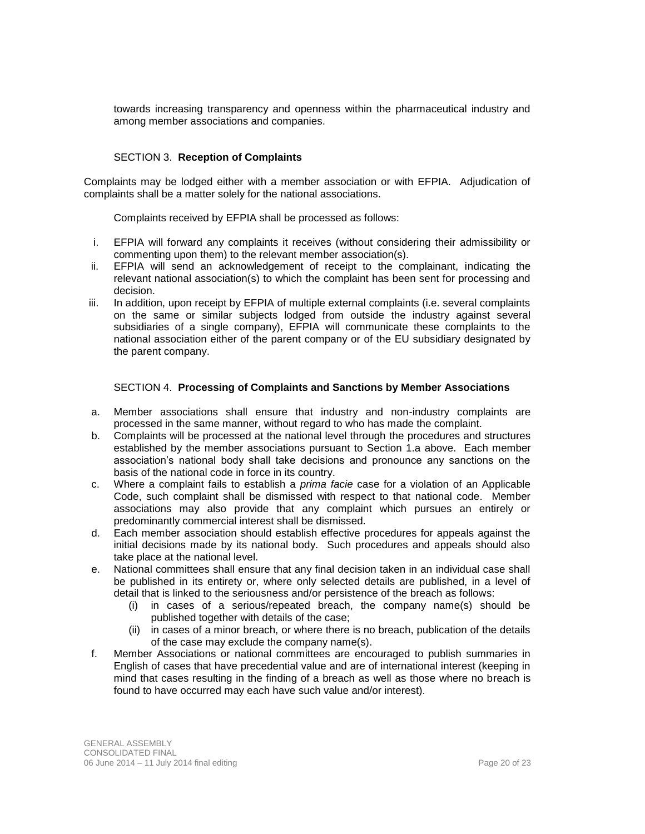towards increasing transparency and openness within the pharmaceutical industry and among member associations and companies.

## SECTION 3. **Reception of Complaints**

Complaints may be lodged either with a member association or with EFPIA. Adjudication of complaints shall be a matter solely for the national associations.

Complaints received by EFPIA shall be processed as follows:

- i. EFPIA will forward any complaints it receives (without considering their admissibility or commenting upon them) to the relevant member association(s).
- ii. EFPIA will send an acknowledgement of receipt to the complainant, indicating the relevant national association(s) to which the complaint has been sent for processing and decision.
- iii. In addition, upon receipt by EFPIA of multiple external complaints (i.e. several complaints on the same or similar subjects lodged from outside the industry against several subsidiaries of a single company), EFPIA will communicate these complaints to the national association either of the parent company or of the EU subsidiary designated by the parent company.

## SECTION 4. **Processing of Complaints and Sanctions by Member Associations**

- a. Member associations shall ensure that industry and non-industry complaints are processed in the same manner, without regard to who has made the complaint.
- b. Complaints will be processed at the national level through the procedures and structures established by the member associations pursuant to Section 1.a above. Each member association's national body shall take decisions and pronounce any sanctions on the basis of the national code in force in its country.
- c. Where a complaint fails to establish a *prima facie* case for a violation of an Applicable Code, such complaint shall be dismissed with respect to that national code. Member associations may also provide that any complaint which pursues an entirely or predominantly commercial interest shall be dismissed.
- d. Each member association should establish effective procedures for appeals against the initial decisions made by its national body. Such procedures and appeals should also take place at the national level.
- e. National committees shall ensure that any final decision taken in an individual case shall be published in its entirety or, where only selected details are published, in a level of detail that is linked to the seriousness and/or persistence of the breach as follows:
	- (i) in cases of a serious/repeated breach, the company name(s) should be published together with details of the case;
	- (ii) in cases of a minor breach, or where there is no breach, publication of the details of the case may exclude the company name(s).
- f. Member Associations or national committees are encouraged to publish summaries in English of cases that have precedential value and are of international interest (keeping in mind that cases resulting in the finding of a breach as well as those where no breach is found to have occurred may each have such value and/or interest).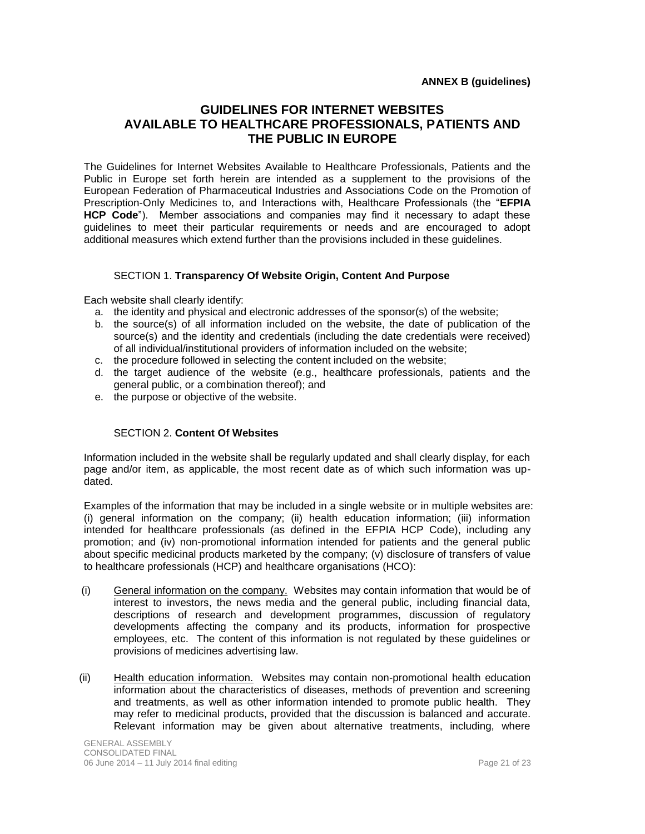## **GUIDELINES FOR INTERNET WEBSITES AVAILABLE TO HEALTHCARE PROFESSIONALS, PATIENTS AND THE PUBLIC IN EUROPE**

The Guidelines for Internet Websites Available to Healthcare Professionals, Patients and the Public in Europe set forth herein are intended as a supplement to the provisions of the European Federation of Pharmaceutical Industries and Associations Code on the Promotion of Prescription-Only Medicines to, and Interactions with, Healthcare Professionals (the "**EFPIA HCP Code**"). Member associations and companies may find it necessary to adapt these guidelines to meet their particular requirements or needs and are encouraged to adopt additional measures which extend further than the provisions included in these guidelines.

## SECTION 1. **Transparency Of Website Origin, Content And Purpose**

Each website shall clearly identify:

- a. the identity and physical and electronic addresses of the sponsor(s) of the website;
- b. the source(s) of all information included on the website, the date of publication of the source(s) and the identity and credentials (including the date credentials were received) of all individual/institutional providers of information included on the website;
- c. the procedure followed in selecting the content included on the website;
- d. the target audience of the website (e.g., healthcare professionals, patients and the general public, or a combination thereof); and
- e. the purpose or objective of the website.

## SECTION 2. **Content Of Websites**

Information included in the website shall be regularly updated and shall clearly display, for each page and/or item, as applicable, the most recent date as of which such information was updated.

Examples of the information that may be included in a single website or in multiple websites are: (i) general information on the company; (ii) health education information; (iii) information intended for healthcare professionals (as defined in the EFPIA HCP Code), including any promotion; and (iv) non-promotional information intended for patients and the general public about specific medicinal products marketed by the company; (v) disclosure of transfers of value to healthcare professionals (HCP) and healthcare organisations (HCO):

- (i) General information on the company. Websites may contain information that would be of interest to investors, the news media and the general public, including financial data, descriptions of research and development programmes, discussion of regulatory developments affecting the company and its products, information for prospective employees, etc. The content of this information is not regulated by these guidelines or provisions of medicines advertising law.
- (ii) Health education information. Websites may contain non-promotional health education information about the characteristics of diseases, methods of prevention and screening and treatments, as well as other information intended to promote public health. They may refer to medicinal products, provided that the discussion is balanced and accurate. Relevant information may be given about alternative treatments, including, where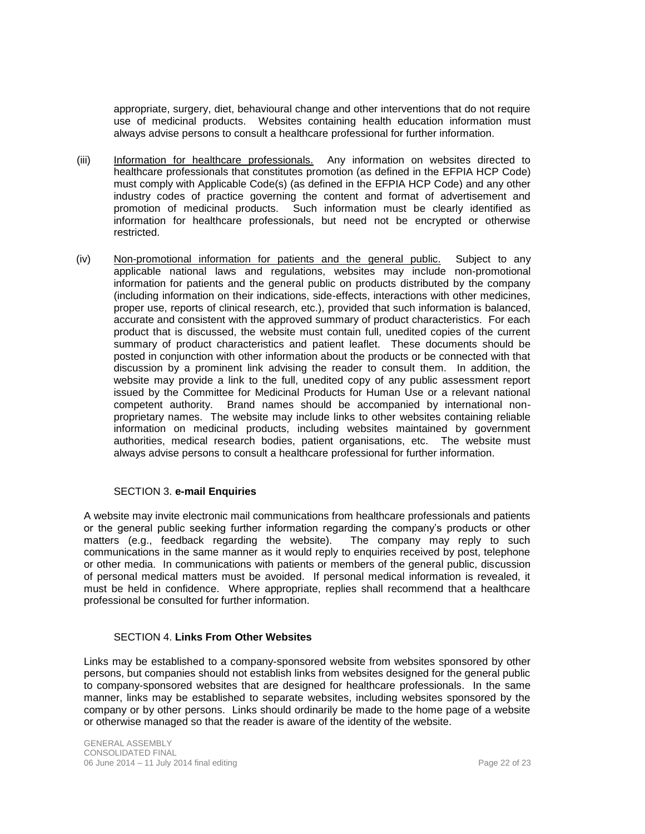appropriate, surgery, diet, behavioural change and other interventions that do not require use of medicinal products. Websites containing health education information must always advise persons to consult a healthcare professional for further information.

- (iii) Information for healthcare professionals. Any information on websites directed to healthcare professionals that constitutes promotion (as defined in the EFPIA HCP Code) must comply with Applicable Code(s) (as defined in the EFPIA HCP Code) and any other industry codes of practice governing the content and format of advertisement and promotion of medicinal products. Such information must be clearly identified as information for healthcare professionals, but need not be encrypted or otherwise restricted.
- (iv) Non-promotional information for patients and the general public. Subject to any applicable national laws and regulations, websites may include non-promotional information for patients and the general public on products distributed by the company (including information on their indications, side-effects, interactions with other medicines, proper use, reports of clinical research, etc.), provided that such information is balanced, accurate and consistent with the approved summary of product characteristics. For each product that is discussed, the website must contain full, unedited copies of the current summary of product characteristics and patient leaflet. These documents should be posted in conjunction with other information about the products or be connected with that discussion by a prominent link advising the reader to consult them. In addition, the website may provide a link to the full, unedited copy of any public assessment report issued by the Committee for Medicinal Products for Human Use or a relevant national competent authority. Brand names should be accompanied by international nonproprietary names. The website may include links to other websites containing reliable information on medicinal products, including websites maintained by government authorities, medical research bodies, patient organisations, etc. The website must always advise persons to consult a healthcare professional for further information.

## SECTION 3. **e-mail Enquiries**

A website may invite electronic mail communications from healthcare professionals and patients or the general public seeking further information regarding the company's products or other matters (e.g., feedback regarding the website). The company may reply to such communications in the same manner as it would reply to enquiries received by post, telephone or other media. In communications with patients or members of the general public, discussion of personal medical matters must be avoided. If personal medical information is revealed, it must be held in confidence. Where appropriate, replies shall recommend that a healthcare professional be consulted for further information.

## SECTION 4. **Links From Other Websites**

Links may be established to a company-sponsored website from websites sponsored by other persons, but companies should not establish links from websites designed for the general public to company-sponsored websites that are designed for healthcare professionals. In the same manner, links may be established to separate websites, including websites sponsored by the company or by other persons. Links should ordinarily be made to the home page of a website or otherwise managed so that the reader is aware of the identity of the website.